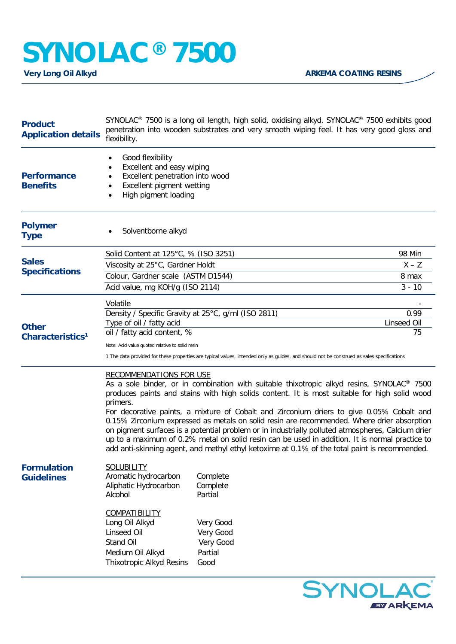## **SYNOLAC<sup>®</sup> 7500**<br>Very Long Oil Alkyd

| <b>Product</b><br><b>Application details</b> | SYNOLAC <sup>®</sup> 7500 is a long oil length, high solid, oxidising alkyd. SYNOLAC <sup>®</sup> 7500 exhibits good<br>penetration into wooden substrates and very smooth wiping feel. It has very good gloss and<br>flexibility.                                                                                                                                                                                                                                                                                                                                                                                                                                                                                                                    |                                                                                                                                           |                     |  |
|----------------------------------------------|-------------------------------------------------------------------------------------------------------------------------------------------------------------------------------------------------------------------------------------------------------------------------------------------------------------------------------------------------------------------------------------------------------------------------------------------------------------------------------------------------------------------------------------------------------------------------------------------------------------------------------------------------------------------------------------------------------------------------------------------------------|-------------------------------------------------------------------------------------------------------------------------------------------|---------------------|--|
| <b>Performance</b><br><b>Benefits</b>        | Good flexibility<br>Excellent and easy wiping<br>Excellent penetration into wood<br>Excellent pigment wetting<br>High pigment loading                                                                                                                                                                                                                                                                                                                                                                                                                                                                                                                                                                                                                 |                                                                                                                                           |                     |  |
| <b>Polymer</b><br><b>Type</b>                | Solventborne alkyd                                                                                                                                                                                                                                                                                                                                                                                                                                                                                                                                                                                                                                                                                                                                    |                                                                                                                                           |                     |  |
| <b>Sales</b><br><b>Specifications</b>        | Solid Content at 125°C, % (ISO 3251)                                                                                                                                                                                                                                                                                                                                                                                                                                                                                                                                                                                                                                                                                                                  |                                                                                                                                           | <b>98 Min</b>       |  |
|                                              | Viscosity at 25°C, Gardner Holdt                                                                                                                                                                                                                                                                                                                                                                                                                                                                                                                                                                                                                                                                                                                      |                                                                                                                                           | $X - Z$             |  |
|                                              | Colour, Gardner scale (ASTM D1544)                                                                                                                                                                                                                                                                                                                                                                                                                                                                                                                                                                                                                                                                                                                    | 8 max                                                                                                                                     |                     |  |
|                                              | Acid value, mg KOH/g (ISO 2114)                                                                                                                                                                                                                                                                                                                                                                                                                                                                                                                                                                                                                                                                                                                       |                                                                                                                                           | $3 - 10$            |  |
| <b>Other</b><br>Characteristics <sup>1</sup> | Volatile                                                                                                                                                                                                                                                                                                                                                                                                                                                                                                                                                                                                                                                                                                                                              |                                                                                                                                           |                     |  |
|                                              | Density / Specific Gravity at 25°C, g/ml (ISO 2811)<br>Type of oil / fatty acid                                                                                                                                                                                                                                                                                                                                                                                                                                                                                                                                                                                                                                                                       |                                                                                                                                           | 0.99<br>Linseed Oil |  |
|                                              | oil / fatty acid content, %                                                                                                                                                                                                                                                                                                                                                                                                                                                                                                                                                                                                                                                                                                                           |                                                                                                                                           | 75                  |  |
|                                              | Note: Acid value quoted relative to solid resin                                                                                                                                                                                                                                                                                                                                                                                                                                                                                                                                                                                                                                                                                                       |                                                                                                                                           |                     |  |
|                                              |                                                                                                                                                                                                                                                                                                                                                                                                                                                                                                                                                                                                                                                                                                                                                       | 1 The data provided for these properties are typical values, intended only as guides, and should not be construed as sales specifications |                     |  |
|                                              | <b>RECOMMENDATIONS FOR USE</b><br>As a sole binder, or in combination with suitable thixotropic alkyd resins, SYNOLAC <sup>®</sup> 7500<br>produces paints and stains with high solids content. It is most suitable for high solid wood<br>primers.<br>For decorative paints, a mixture of Cobalt and Zirconium driers to give 0.05% Cobalt and<br>0.15% Zirconium expressed as metals on solid resin are recommended. Where drier absorption<br>on pigment surfaces is a potential problem or in industrially polluted atmospheres, Calcium drier<br>up to a maximum of 0.2% metal on solid resin can be used in addition. It is normal practice to<br>add anti-skinning agent, and methyl ethyl ketoxime at 0.1% of the total paint is recommended. |                                                                                                                                           |                     |  |
| <b>Formulation</b><br><b>Guidelines</b>      | <b>SOLUBILITY</b><br>Aromatic hydrocarbon<br>Aliphatic Hydrocarbon<br>Alcohol<br><b>COMPATIBILITY</b><br>Long Oil Alkyd<br>Linseed Oil<br>Stand Oil<br>Medium Oil Alkyd                                                                                                                                                                                                                                                                                                                                                                                                                                                                                                                                                                               | Complete<br>Complete<br>Partial<br>Very Good<br>Very Good<br>Very Good<br>Partial<br>Good                                                 |                     |  |
|                                              | Thixotropic Alkyd Resins                                                                                                                                                                                                                                                                                                                                                                                                                                                                                                                                                                                                                                                                                                                              |                                                                                                                                           |                     |  |